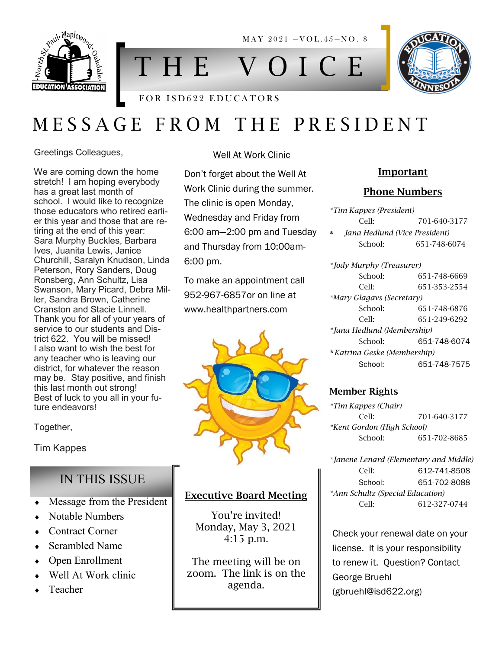

MAY 2021 - VOL.45-NO. 8

# T H E V O I C E

#### FOR ISD622 EDUCATORS

# M E S S A G E F R O M T H E P R E S I D E N T

Greetings Colleagues,

We are coming down the home stretch! I am hoping everybody has a great last month of school. I would like to recognize those educators who retired earlier this year and those that are retiring at the end of this year: Sara Murphy Buckles, Barbara Ives, Juanita Lewis, Janice Churchill, Saralyn Knudson, Linda Peterson, Rory Sanders, Doug Ronsberg, Ann Schultz, Lisa Swanson, Mary Picard, Debra Miller, Sandra Brown, Catherine Cranston and Stacie Linnell. Thank you for all of your years of service to our students and District 622. You will be missed! I also want to wish the best for any teacher who is leaving our district, for whatever the reason may be. Stay positive, and finish this last month out strong! Best of luck to you all in your future endeavors!

Together,

Tim Kappes

### IN THIS ISSUE

- **Message from the President**
- Notable Numbers
- Contract Corner
- Scrambled Name
- Open Enrollment
- Well At Work clinic
- Teacher

#### Well At Work Clinic

Don't forget about the Well At Work Clinic during the summer. The clinic is open Monday, Wednesday and Friday from 6:00 am—2:00 pm and Tuesday and Thursday from 10:00am-6:00 pm.

To make an appointment call 952-967-6857or on line at www.healthpartners.com



#### Executive Board Meeting

You're invited! Monday, May 3, 2021 4:15 p.m.

The meeting will be on zoom. The link is on the agenda.

#### Important

#### Phone Numbers

|        | *Tim Kappes (President)       |              |
|--------|-------------------------------|--------------|
|        | Cell:                         | 701-640-3177 |
| $\ast$ | Jana Hedlund (Vice President) |              |
|        | School:                       | 651-748-6074 |
|        |                               |              |

*\*Jody Murphy (Treasurer)* School: 651-748-6669 Cell: 651-353-2554 *\*Mary Glagavs (Secretary)* School: 651-748-6876 Cell: 651-249-6292 *\*Jana Hedlund (Membership)* School: 651-748-6074 \**Katrina Geske (Membership)* School: 651-748-7575

#### Member Rights

*\*Tim Kappes (Chair)* Cell: 701-640-3177 *\*Kent Gordon (High School)* School: 651-702-8685

*\*Janene Lenard (Elementary and Middle)* Cell: 612-741-8508 School: 651-702-8088 *\*Ann Schultz (Special Education)* Cell: 612-327-0744

Check your renewal date on your license. It is your responsibility to renew it. Question? Contact George Bruehl (gbruehl@isd622.org)